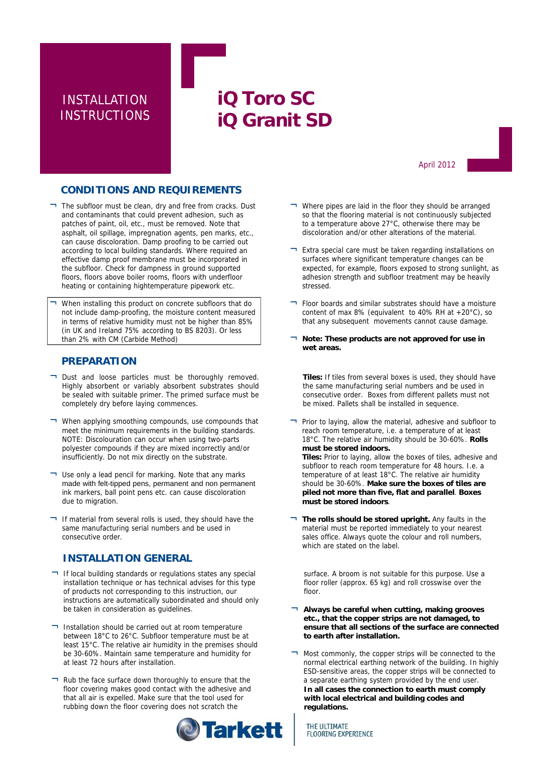# INSTALLATION **INSTRUCTIONS**

# **iQ Toro SC iQ Granit SD**

April 2012

### **CONDITIONS AND REQUIREMENTS**

- ¬ The subfloor must be clean, dry and free from cracks. Dust and contaminants that could prevent adhesion, such as patches of paint, oil, etc., must be removed. Note that asphalt, oil spillage, impregnation agents, pen marks, etc., can cause discoloration. Damp proofing to be carried out according to local building standards. Where required an effective damp proof membrane must be incorporated in the subfloor. Check for dampness in ground supported floors, floors above boiler rooms, floors with underfloor heating or containing hightemperature pipework etc.
- When installing this product on concrete subfloors that do not include damp-proofing, the moisture content measured in terms of relative humidity must not be higher than 85% (in UK and Ireland 75% according to BS 8203). Or less than 2% with CM (Carbide Method)

### **PREPARATION**

- ¬ Dust and loose particles must be thoroughly removed. Highly absorbent or variably absorbent substrates should be sealed with suitable primer. The primed surface must be completely dry before laying commences.
- ¬ When applying smoothing compounds, use compounds that meet the minimum requirements in the building standards. NOTE: Discolouration can occur when using two-parts polyester compounds if they are mixed incorrectly and/or insufficiently. Do not mix directly on the substrate.
- ¬ Use only a lead pencil for marking. Note that any marks made with felt-tipped pens, permanent and non permanent ink markers, ball point pens etc. can cause discoloration due to migration.
- If material from several rolls is used, they should have the same manufacturing serial numbers and be used in consecutive order.

### **INSTALLATION GENERAL**

- ¬ If local building standards or regulations states any special installation technique or has technical advises for this type of products not corresponding to this instruction, our instructions are automatically subordinated and should only be taken in consideration as guidelines.
- ¬ Installation should be carried out at room temperature between 18°C to 26°C. Subfloor temperature must be at least 15°C. The relative air humidity in the premises should be 30-60%. Maintain same temperature and humidity for at least 72 hours after installation.
- ¬ Rub the face surface down thoroughly to ensure that the floor covering makes good contact with the adhesive and that all air is expelled. Make sure that the tool used for rubbing down the floor covering does not scratch the



- ¬ Where pipes are laid in the floor they should be arranged so that the flooring material is not continuously subjected to a temperature above 27°C, otherwise there may be discoloration and/or other alterations of the material.
- ¬ Extra special care must be taken regarding installations on surfaces where significant temperature changes can be expected, for example, floors exposed to strong sunlight, as adhesion strength and subfloor treatment may be heavily stressed.
- ¬ Floor boards and similar substrates should have a moisture content of max 8% (equivalent to 40% RH at +20°C), so that any subsequent movements cannot cause damage.
- Note: These products are not approved for use in **wet areas.**

**Tiles:** If tiles from several boxes is used, they should have the same manufacturing serial numbers and be used in consecutive order. Boxes from different pallets must not be mixed. Pallets shall be installed in sequence.

¬ Prior to laying, allow the material, adhesive and subfloor to reach room temperature, i.e. a temperature of at least 18°C. The relative air humidity should be 30-60%. **Rolls must be stored indoors.**

**Tiles:** Prior to laying, allow the boxes of tiles, adhesive and subfloor to reach room temperature for 48 hours. I.e. a temperature of at least 18°C. The relative air humidity should be 30-60%. **Make sure the boxes of tiles are piled not more than five, flat and parallel**. **Boxes must be stored indoors**.

¬ **The rolls should be stored upright.** Any faults in the material must be reported immediately to your nearest sales office. Always quote the colour and roll numbers, which are stated on the label.

surface. A broom is not suitable for this purpose. Use a floor roller (approx. 65 kg) and roll crosswise over the floor.

- Always be careful when cutting, making grooves **etc., that the copper strips are not damaged, to ensure that all sections of the surface are connected to earth after installation.**
- Most commonly, the copper strips will be connected to the normal electrical earthing network of the building. In highly ESD-sensitive areas, the copper strips will be connected to a separate earthing system provided by the end user. **In all cases the connection to earth must comply with local electrical and building codes and regulations.**

THE ULTIMATE **FLOORING EXPERIENCE**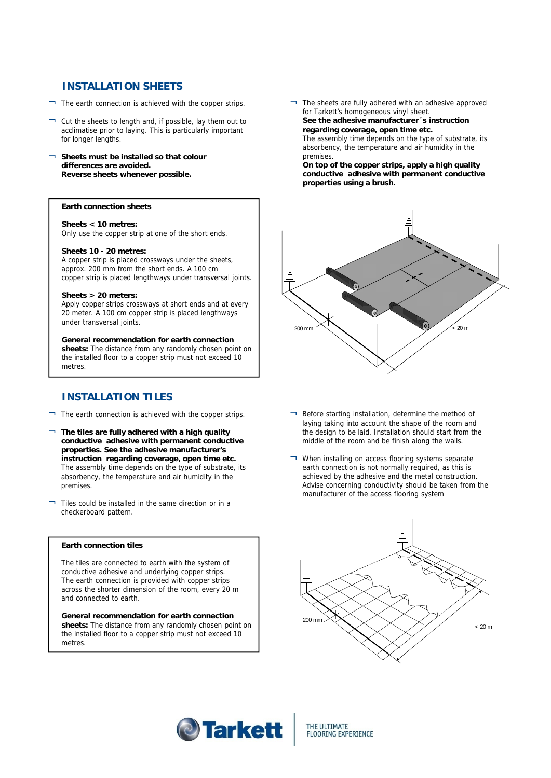## **INSTALLATION SHEETS**

- $\neg$  The earth connection is achieved with the copper strips.
- ¬ Cut the sheets to length and, if possible, lay them out to acclimatise prior to laying. This is particularly important for longer lengths.
- ¬ **Sheets must be installed so that colour differences are avoided. Reverse sheets whenever possible.**

#### **Earth connection sheets**

**Sheets < 10 metres:**  Only use the copper strip at one of the short ends.

#### **Sheets 10 - 20 metres:**

A copper strip is placed crossways under the sheets, approx. 200 mm from the short ends. A 100 cm copper strip is placed lengthways under transversal joints.

#### **Sheets > 20 meters:**

Apply copper strips crossways at short ends and at every 20 meter. A 100 cm copper strip is placed lengthways under transversal joints.

#### **General recommendation for earth connection**

**sheets:** The distance from any randomly chosen point on the installed floor to a copper strip must not exceed 10 metres.

### **INSTALLATION TILES**

- $\Box$  The earth connection is achieved with the copper strips.
- ¬ **The tiles are fully adhered with a high quality conductive adhesive with permanent conductive properties. See the adhesive manufacturer's instruction regarding coverage, open time etc.** The assembly time depends on the type of substrate, its absorbency, the temperature and air humidity in the premises.
- ¬ Tiles could be installed in the same direction or in a checkerboard pattern.

#### **Earth connection tiles**

The tiles are connected to earth with the system of conductive adhesive and underlying copper strips. The earth connection is provided with copper strips across the shorter dimension of the room, every 20 m and connected to earth.

**General recommendation for earth connection sheets:** The distance from any randomly chosen point on the installed floor to a copper strip must not exceed 10 metres.

¬ The sheets are fully adhered with an adhesive approved for Tarkett's homogeneous vinyl sheet. **See the adhesive manufacturer´s instruction regarding coverage, open time etc.**  The assembly time depends on the type of substrate, its absorbency, the temperature and air humidity in the

premises. **On top of the copper strips, apply a high quality conductive adhesive with permanent conductive properties using a brush.**



- Before starting installation, determine the method of laying taking into account the shape of the room and the design to be laid. Installation should start from the middle of the room and be finish along the walls.
- ¬ When installing on access flooring systems separate earth connection is not normally required, as this is achieved by the adhesive and the metal construction. Advise concerning conductivity should be taken from the manufacturer of the access flooring system





THE ULTIMATE **FLOORING EXPERIENCE**